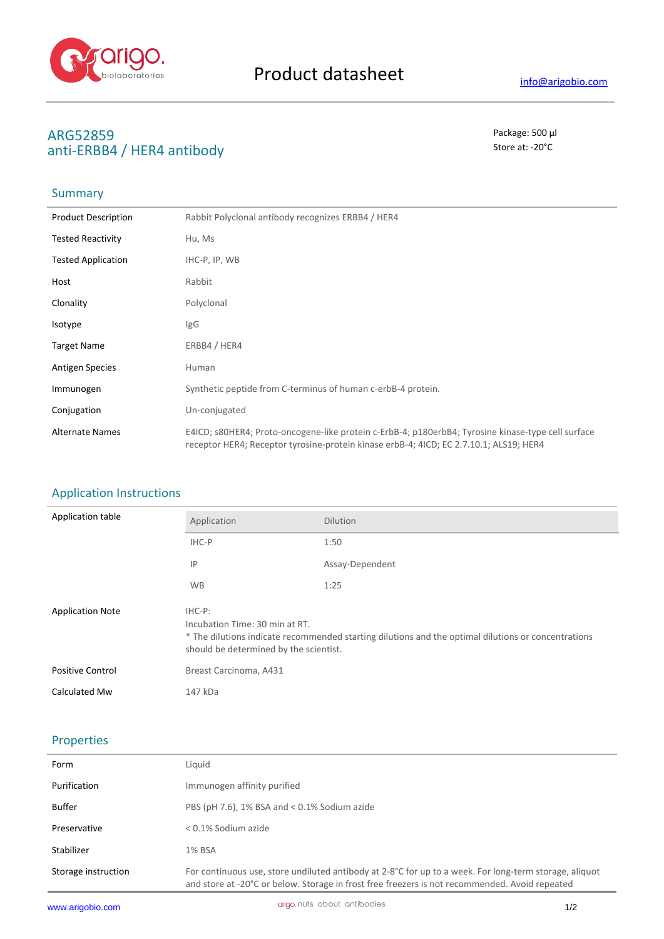

# **ARG52859** Package: 500 μl<br>
anti-ERRR4 / HER4 antihody anti-ERBB4 / HER4 antibody

## **Summary**

| <b>Product Description</b> | Rabbit Polyclonal antibody recognizes ERBB4 / HER4                                                                                                                                           |
|----------------------------|----------------------------------------------------------------------------------------------------------------------------------------------------------------------------------------------|
| <b>Tested Reactivity</b>   | Hu, Ms                                                                                                                                                                                       |
| <b>Tested Application</b>  | IHC-P, IP, WB                                                                                                                                                                                |
| Host                       | Rabbit                                                                                                                                                                                       |
| Clonality                  | Polyclonal                                                                                                                                                                                   |
| <b>Isotype</b>             | IgG                                                                                                                                                                                          |
| <b>Target Name</b>         | ERBB4 / HER4                                                                                                                                                                                 |
| <b>Antigen Species</b>     | Human                                                                                                                                                                                        |
| Immunogen                  | Synthetic peptide from C-terminus of human c-erbB-4 protein.                                                                                                                                 |
| Conjugation                | Un-conjugated                                                                                                                                                                                |
| <b>Alternate Names</b>     | E4ICD; s80HER4; Proto-oncogene-like protein c-ErbB-4; p180erbB4; Tyrosine kinase-type cell surface<br>receptor HER4; Receptor tyrosine-protein kinase erbB-4; 4ICD; EC 2.7.10.1; ALS19; HER4 |

### Application Instructions

| Application table       | Application                                                                                                                                                                                  | <b>Dilution</b> |
|-------------------------|----------------------------------------------------------------------------------------------------------------------------------------------------------------------------------------------|-----------------|
|                         | IHC-P                                                                                                                                                                                        | 1:50            |
|                         | IP                                                                                                                                                                                           | Assay-Dependent |
|                         | <b>WB</b>                                                                                                                                                                                    | 1:25            |
| <b>Application Note</b> | $IHC-P$ :<br>Incubation Time: 30 min at RT.<br>* The dilutions indicate recommended starting dilutions and the optimal dilutions or concentrations<br>should be determined by the scientist. |                 |
| <b>Positive Control</b> | Breast Carcinoma, A431                                                                                                                                                                       |                 |
| Calculated Mw           | 147 kDa                                                                                                                                                                                      |                 |

### Properties

| Form                | Liquid                                                                                                                                                                                                   |
|---------------------|----------------------------------------------------------------------------------------------------------------------------------------------------------------------------------------------------------|
| Purification        | Immunogen affinity purified                                                                                                                                                                              |
| Buffer              | PBS (pH 7.6), 1% BSA and $<$ 0.1% Sodium azide                                                                                                                                                           |
| Preservative        | $< 0.1\%$ Sodium azide                                                                                                                                                                                   |
| Stabilizer          | 1% BSA                                                                                                                                                                                                   |
| Storage instruction | For continuous use, store undiluted antibody at 2-8°C for up to a week. For long-term storage, aliquot<br>and store at -20°C or below. Storage in frost free freezers is not recommended. Avoid repeated |
|                     |                                                                                                                                                                                                          |

J.